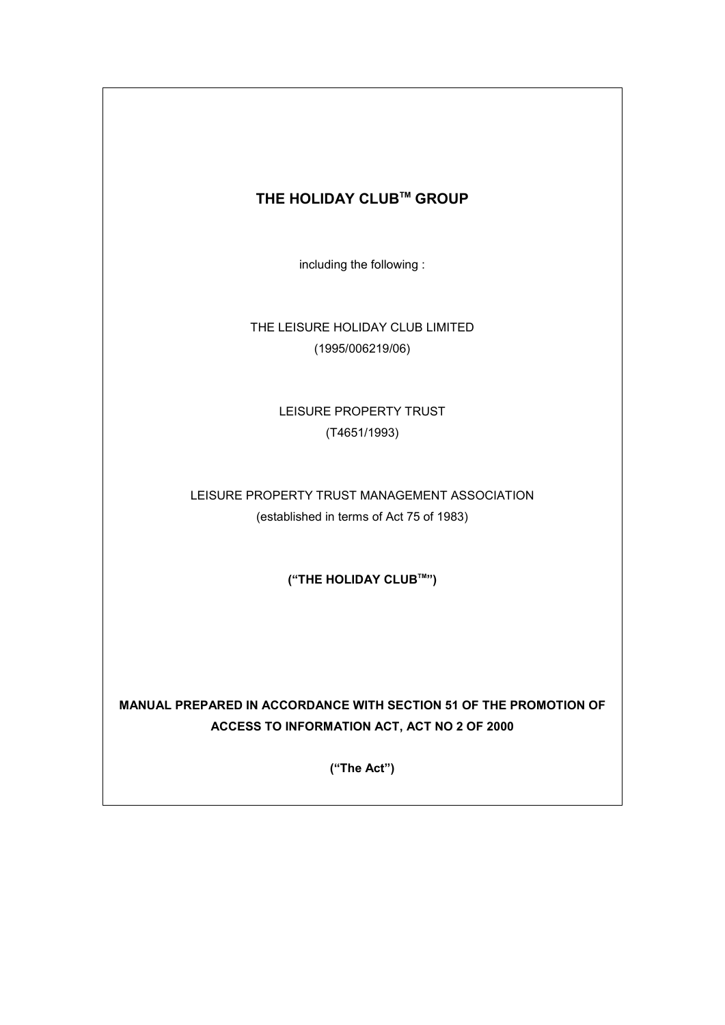# **THE HOLIDAY CLUBTM GROUP**

including the following :

THE LEISURE HOLIDAY CLUB LIMITED (1995/006219/06)

> LEISURE PROPERTY TRUST (T4651/1993)

LEISURE PROPERTY TRUST MANAGEMENT ASSOCIATION (established in terms of Act 75 of 1983)

**("THE HOLIDAY CLUBTM")** 

**MANUAL PREPARED IN ACCORDANCE WITH SECTION 51 OF THE PROMOTION OF ACCESS TO INFORMATION ACT, ACT NO 2 OF 2000** 

**("The Act")**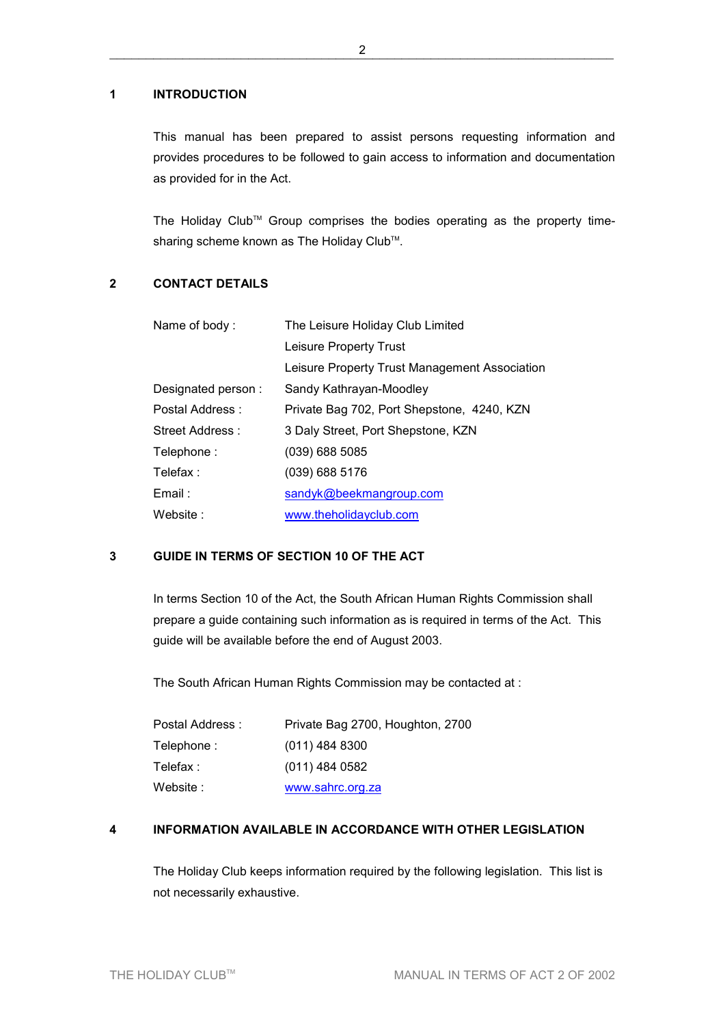### **1 INTRODUCTION**

This manual has been prepared to assist persons requesting information and provides procedures to be followed to gain access to information and documentation as provided for in the Act.

The Holiday Club™ Group comprises the bodies operating as the property timesharing scheme known as The Holiday Club™.

### **2 CONTACT DETAILS**

| Name of body:      | The Leisure Holiday Club Limited              |  |
|--------------------|-----------------------------------------------|--|
|                    | Leisure Property Trust                        |  |
|                    | Leisure Property Trust Management Association |  |
| Designated person: | Sandy Kathrayan-Moodley                       |  |
| Postal Address:    | Private Bag 702, Port Shepstone, 4240, KZN    |  |
| Street Address:    | 3 Daly Street, Port Shepstone, KZN            |  |
| Telephone:         | $(039)$ 688 5085                              |  |
| Telefax :          | $(039)$ 688 5176                              |  |
| $E$ mail :         | sandyk@beekmangroup.com                       |  |
| Website:           | www.theholidayclub.com                        |  |

# **3 GUIDE IN TERMS OF SECTION 10 OF THE ACT**

In terms Section 10 of the Act, the South African Human Rights Commission shall prepare a guide containing such information as is required in terms of the Act. This guide will be available before the end of August 2003.

The South African Human Rights Commission may be contacted at :

| Postal Address : | Private Bag 2700, Houghton, 2700 |
|------------------|----------------------------------|
| Telephone :      | $(011)$ 484 8300                 |
| Telefax :        | $(011)$ 484 0582                 |
| Website :        | www.sahrc.org.za                 |

### **4 INFORMATION AVAILABLE IN ACCORDANCE WITH OTHER LEGISLATION**

The Holiday Club keeps information required by the following legislation. This list is not necessarily exhaustive.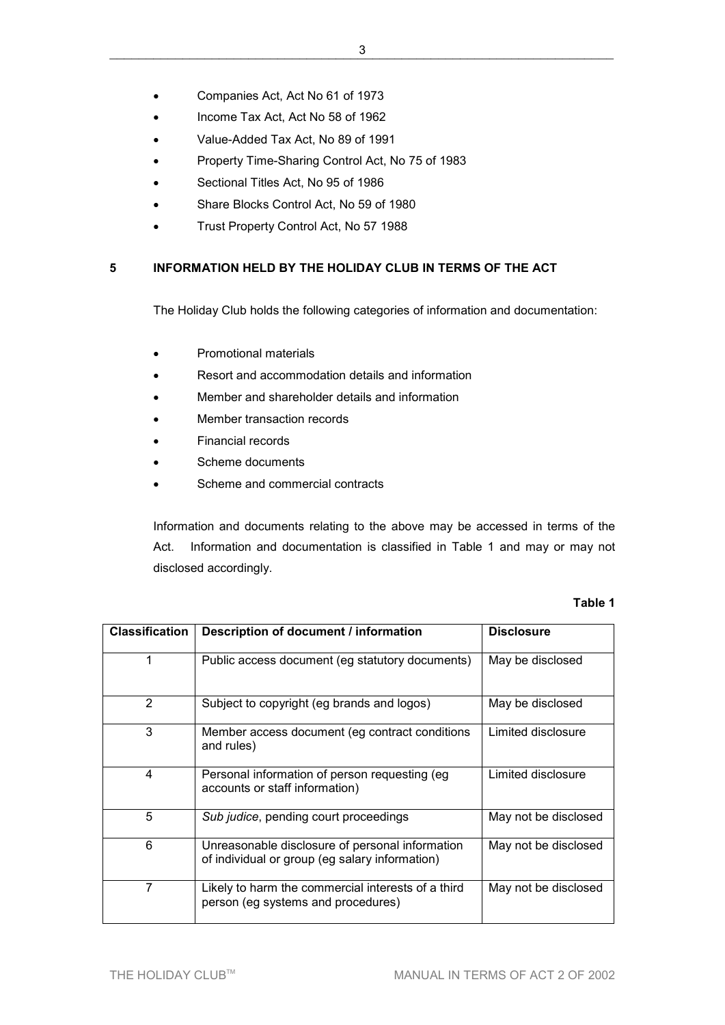- Companies Act, Act No 61 of 1973
- Income Tax Act, Act No 58 of 1962
- Value-Added Tax Act, No 89 of 1991
- Property Time-Sharing Control Act, No 75 of 1983
- Sectional Titles Act, No 95 of 1986
- Share Blocks Control Act, No 59 of 1980
- Trust Property Control Act, No 57 1988

## **5 INFORMATION HELD BY THE HOLIDAY CLUB IN TERMS OF THE ACT**

The Holiday Club holds the following categories of information and documentation:

- Promotional materials
- Resort and accommodation details and information
- Member and shareholder details and information
- Member transaction records
- Financial records
- Scheme documents
- Scheme and commercial contracts

Information and documents relating to the above may be accessed in terms of the Act. Information and documentation is classified in Table 1 and may or may not disclosed accordingly.

#### **Table 1**

| <b>Classification</b> | Description of document / information                                                             | <b>Disclosure</b>    |
|-----------------------|---------------------------------------------------------------------------------------------------|----------------------|
| 1                     | Public access document (eg statutory documents)                                                   | May be disclosed     |
| 2                     | Subject to copyright (eg brands and logos)                                                        | May be disclosed     |
| 3                     | Member access document (eg contract conditions<br>and rules)                                      | Limited disclosure   |
| 4                     | Personal information of person requesting (eg<br>accounts or staff information)                   | Limited disclosure   |
| 5                     | Sub judice, pending court proceedings                                                             | May not be disclosed |
| 6                     | Unreasonable disclosure of personal information<br>of individual or group (eg salary information) | May not be disclosed |
| 7                     | Likely to harm the commercial interests of a third<br>person (eg systems and procedures)          | May not be disclosed |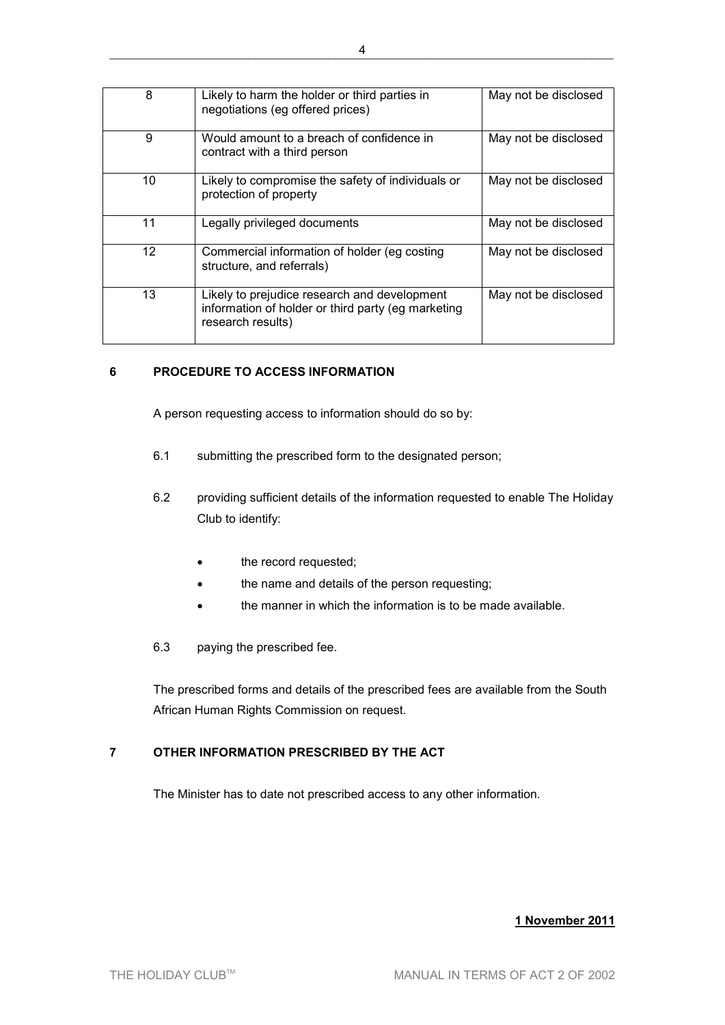| 8                 | Likely to harm the holder or third parties in<br>negotiations (eg offered prices)                                       | May not be disclosed |
|-------------------|-------------------------------------------------------------------------------------------------------------------------|----------------------|
| 9                 | Would amount to a breach of confidence in<br>contract with a third person                                               | May not be disclosed |
| 10                | Likely to compromise the safety of individuals or<br>protection of property                                             | May not be disclosed |
| 11                | Legally privileged documents                                                                                            | May not be disclosed |
| $12 \overline{ }$ | Commercial information of holder (eg costing<br>structure, and referrals)                                               | May not be disclosed |
| 13                | Likely to prejudice research and development<br>information of holder or third party (eg marketing<br>research results) | May not be disclosed |

## **6 PROCEDURE TO ACCESS INFORMATION**

A person requesting access to information should do so by:

- 6.1 submitting the prescribed form to the designated person;
- 6.2 providing sufficient details of the information requested to enable The Holiday Club to identify:
	- the record requested;
	- the name and details of the person requesting;
	- the manner in which the information is to be made available.
- 6.3 paying the prescribed fee.

The prescribed forms and details of the prescribed fees are available from the South African Human Rights Commission on request.

# **7 OTHER INFORMATION PRESCRIBED BY THE ACT**

The Minister has to date not prescribed access to any other information.

### **1 November 2011**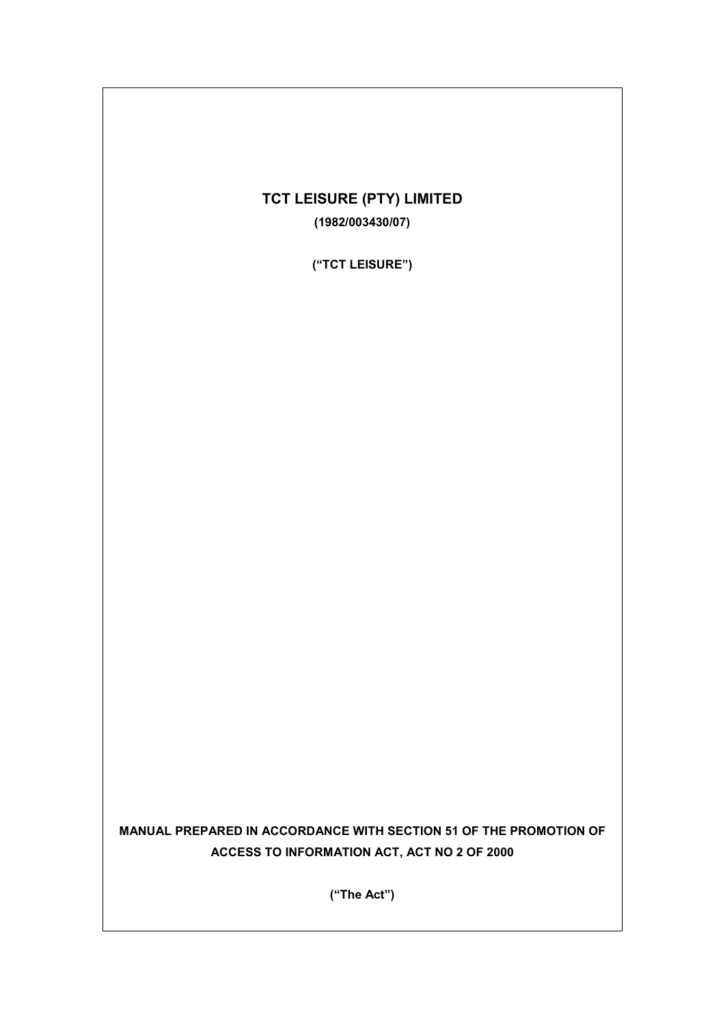# **TCT LEISURE (PTY) LIMITED (1982/003430/07)**

**("TCT LEISURE")** 

**MANUAL PREPARED IN ACCORDANCE WITH SECTION 51 OF THE PROMOTION OF** 

**("The Act")** 

**ACCESS TO INFORMATION ACT, ACT NO 2 OF 2000**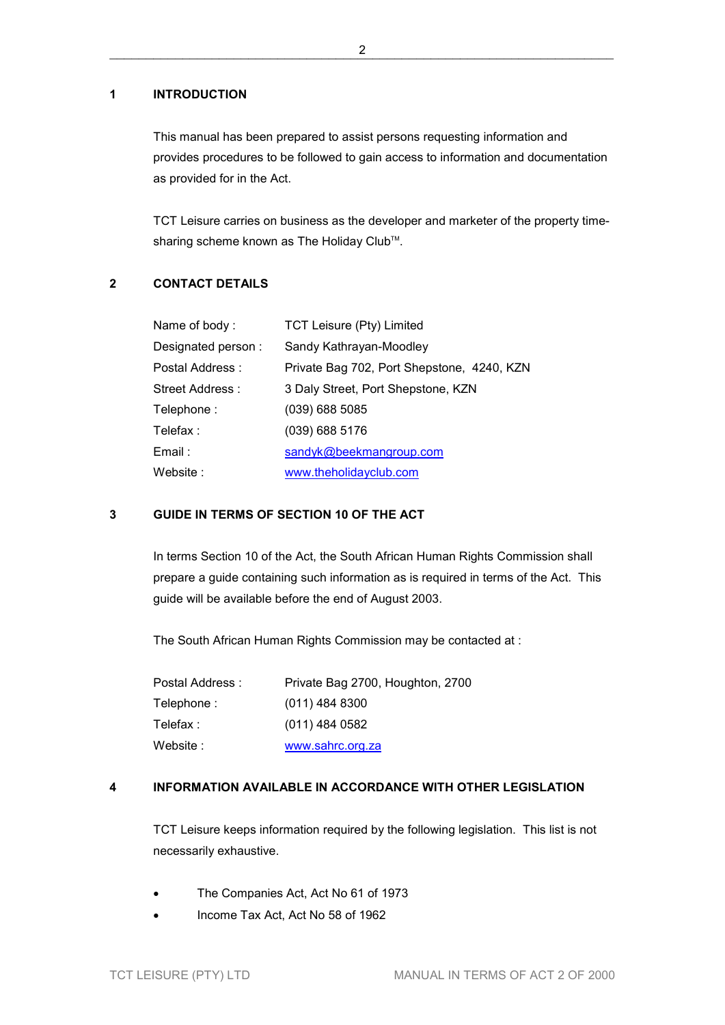### **1 INTRODUCTION**

This manual has been prepared to assist persons requesting information and provides procedures to be followed to gain access to information and documentation as provided for in the Act.

TCT Leisure carries on business as the developer and marketer of the property timesharing scheme known as The Holiday Club™.

## **2 CONTACT DETAILS**

| Name of body:      | TCT Leisure (Pty) Limited                  |
|--------------------|--------------------------------------------|
| Designated person: | Sandy Kathrayan-Moodley                    |
| Postal Address :   | Private Bag 702, Port Shepstone, 4240, KZN |
| Street Address:    | 3 Daly Street, Port Shepstone, KZN         |
| Telephone:         | $(039)$ 688 5085                           |
| Telefax :          | $(039)$ 688 5176                           |
| Email :            | sandyk@beekmangroup.com                    |
| Website :          | www.theholidayclub.com                     |

# **3 GUIDE IN TERMS OF SECTION 10 OF THE ACT**

In terms Section 10 of the Act, the South African Human Rights Commission shall prepare a guide containing such information as is required in terms of the Act. This guide will be available before the end of August 2003.

The South African Human Rights Commission may be contacted at :

| Postal Address : | Private Bag 2700, Houghton, 2700 |
|------------------|----------------------------------|
| Telephone :      | $(011)$ 484 8300                 |
| Telefax :        | $(011)$ 484 0582                 |
| Website :        | www.sahrc.org.za                 |

### **4 INFORMATION AVAILABLE IN ACCORDANCE WITH OTHER LEGISLATION**

TCT Leisure keeps information required by the following legislation. This list is not necessarily exhaustive.

- The Companies Act, Act No 61 of 1973
- Income Tax Act, Act No 58 of 1962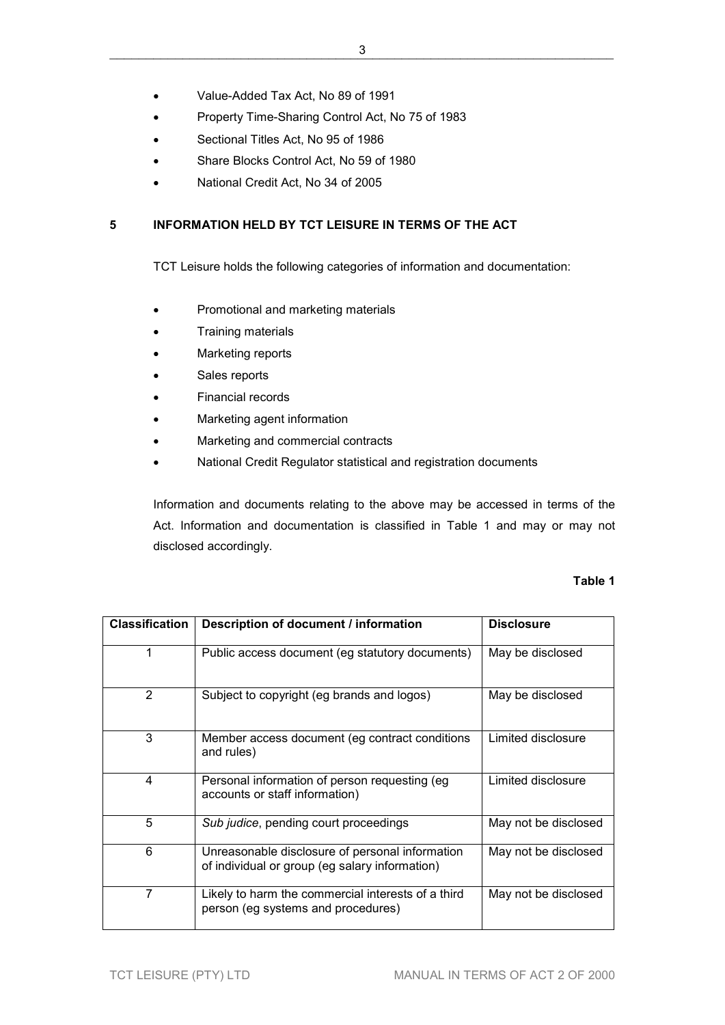- Value-Added Tax Act, No 89 of 1991
- Property Time-Sharing Control Act, No 75 of 1983
- Sectional Titles Act, No 95 of 1986
- Share Blocks Control Act, No 59 of 1980
- National Credit Act, No 34 of 2005

## **5 INFORMATION HELD BY TCT LEISURE IN TERMS OF THE ACT**

TCT Leisure holds the following categories of information and documentation:

- Promotional and marketing materials
- Training materials
- Marketing reports
- Sales reports
- Financial records
- Marketing agent information
- Marketing and commercial contracts
- National Credit Regulator statistical and registration documents

Information and documents relating to the above may be accessed in terms of the Act. Information and documentation is classified in Table 1 and may or may not disclosed accordingly.

#### **Table 1**

| <b>Classification</b> | Description of document / information                                                             | <b>Disclosure</b>    |
|-----------------------|---------------------------------------------------------------------------------------------------|----------------------|
| 1                     | Public access document (eg statutory documents)                                                   | May be disclosed     |
| $\overline{2}$        | Subject to copyright (eg brands and logos)                                                        | May be disclosed     |
| 3                     | Member access document (eg contract conditions<br>and rules)                                      | Limited disclosure   |
| 4                     | Personal information of person requesting (eg<br>accounts or staff information)                   | Limited disclosure   |
| 5                     | Sub judice, pending court proceedings                                                             | May not be disclosed |
| 6                     | Unreasonable disclosure of personal information<br>of individual or group (eg salary information) | May not be disclosed |
| $\overline{7}$        | Likely to harm the commercial interests of a third<br>person (eg systems and procedures)          | May not be disclosed |